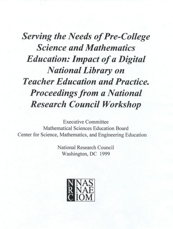**Serving the Needs of Pre-College Science and Mathematics Education: Impact of a Digital National Library on Teacher Education and Practice. Proceedings from a National Research Council Workshop** 

**Executive Committee** Mathematical Sciences Education Board Center for Science, Mathematics, and Engineering Education

> National Research Council Washington, DC 1999

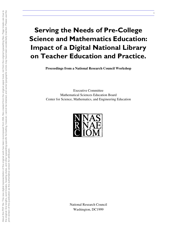# **Serving the Needs of Pre-College Science and Mathematics Education: Impact of a Digital National Library on Teacher Education and Practice.**

i

**Proceedings from a National Research Council Workshop**

Executive Committee Mathematical Sciences Education Board Center for Science, Mathematics, and Engineering Education



National Research Council Washington, DC1999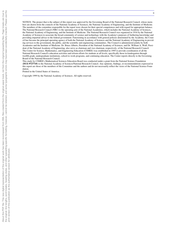NOTICE: The project that is the subject of this report was approved by the Governing Board of the National Research Council, whose members are drawn from the councils of the National Academy of Sciences, the National Academy of Engineering, and the Institute of Medicine. The members of the committee responsible for the report were chosen for their special competences and with regard for appropriate balance. The National Research Council (NRC) is the operating arm of the National Academies, which includes the National Academy of Sciences, the National Academy of Engineering, and the Institute of Medicine. The National Research Council was organized in 1916 by the National Academy of Sciences to associate the broad community of science and technology with the Academy's purposes of furthering knowledge and providing impartial advice to the federal government. Functioning in accordance with general policies determined by the Academy, the Council has become the principal operating agency of both the National Academy of Sciences and the National Academy of Engineering in providing services to the government, the public, and the scientific and engineering communities. The Council is administered jointly by both Academies and the Institute of Medicine. Dr. Bruce Alberts, President of the National Academy of Sciences, and Dr. William A. Wulf, President of the National Academy of Engineering, also serve as chairman and vice chairman, respectively, of the National Research Council. The Center for Science, Mathematics, and Engineering Education (CSMEE) was established in 1995 to provide coordination of all the National Research Council's education activities and reform efforts for students at all levels, specifically those in kindergarten through twelfth grade, undergraduate institutions, school-to-work programs, and continuing education. The Center reports directly to the Governing Board of the National Research Council.

This study by CSMEE's Mathematical Sciences Education Board was conducted under a grant from the National Science Foundation (**DUE-9727710**) to the National Academy of Sciences/National Research Council. Any opinions, findings, or recommendations expressed in this report are those of the members of the Committee and the authors and do not necessarily reflect the views of the National Science Foundation.

Printed in the United States of America.

Copyright 1999 by the National Academy of Sciences. All rights reserved.

print version of this publication as the authoritative version for attribution.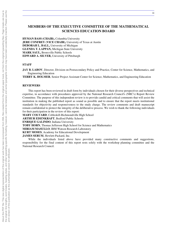# **MEMBERS OF THE EXECUTIVE COMMITTEE OF THE MATHEMATICAL SCIENCES EDUCATION BOARD**

**HYMAN BASS (CHAIR),** Columbia University **JERE CONFREY (VICE CHAIR),** University of Texas at Austin **DEBORAH L. BALL,** University of Michigan **GLENDA T. LAPPAN,** Michigan State University **MARK SAUL,** Bronxville Public Schools **EDWARD A. SILVER,** University of Pittsburgh

# **STAFF**

**JAY B. LABOV**, Director, Division on Postsecondary Policy and Practice, Center for Science, Mathematics, and Engineering Education

**TERRY K. HOLMER**, Senior Project Assistant Center for Science, Mathematics, and Engineering Education

### **REVIEWERS**

This report has been reviewed in draft form by individuals chosen for their diverse perspectives and technical expertise, in accordance with procedures approved by the National Research Council's (NRC's) Report Review Committee. The purpose of this independent review is to provide candid and critical comments that will assist the institution in making the published report as sound as possible and to ensure that the report meets institutional standards for objectivity and responsiveness to the study charge. The review comments and draft manuscript remain confidential to protect the integrity of the deliberative process. We wish to thank the following individuals for their participation in the review of this report:

**MARY COLVARD**, Cobleskill-Richmondville High School

**ARTHUR EISENKRAFT**, Bedford Public Schools

**ENRIQUE GALINDO**, Indiana University

**TOBY HORN**, Thomas Jefferson High School for Science and Mathematics

**MIRIAM MASULLO**, IBM Watson Research Laboratory

**KURT MOSES**, Academy for Educational Development

**JAMES SERUM**, Hewlett-Packard, Inc.

While the individuals listed above have provided many constructive comments and suggestions, responsibility for the final content of this report rests solely with the workshop planning committee and the National Research Council.

 $\overline{\mathbb{C}}$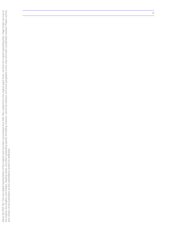About this PDF file: This new digital representation of the original work has been recomposed from XML files created from the original pook, not from the original typesetting files. Page breaks are true to<br>the original; li About this PDF file: This new digital representation of the original work has been recomposed from XML files created from the original typesetting files. Page breaks are true to the original; line lengths, word breaks, heading styles, and other typesetting-specific formatting, however, cannot be retained, and some typographic errors may have been accidentally inserted. Please use the print version of this publication as the authoritative version for attribution.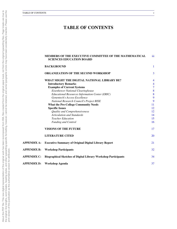# **TABLE OF CONTENTS**

#### **MEMBERS OF THE EXECUTIVE COMMITTEE OF THE MATHEMATICAL SCIENCES EDUCATION BOARD** iii

|                    | <b>BACKGROUND</b>                                                     | 1              |
|--------------------|-----------------------------------------------------------------------|----------------|
|                    | <b>ORGANIZATION OF THE SECOND WORKSHOP</b>                            | 3              |
|                    | WHAT MIGHT THE DIGITAL NATIONAL LIBRARY BE?                           | $\overline{4}$ |
|                    | <b>Introductory Remarks</b>                                           | $\overline{4}$ |
|                    | <b>Examples of Current Systems</b>                                    | $\overline{7}$ |
|                    | Eisenhower National Clearinghouse                                     | 8              |
|                    | <b>Educational Resources Information Center (ERIC)</b>                | 8              |
|                    | Genentech's Access Excellence                                         | 9              |
|                    | National Research Council's Project RISE                              | 9              |
|                    | <b>What the Pre-College Community Needs</b>                           | 11             |
|                    | <b>Specific Issues</b>                                                | 12             |
|                    | Quality and Comprehensiveness                                         | 12             |
|                    | Articulation and Standards                                            | 14             |
|                    | <b>Teacher Education</b>                                              | 15             |
|                    | <b>Funding and Control</b>                                            | 16             |
|                    | <b>VISIONS OF THE FUTURE</b>                                          | 17             |
|                    | <b>LITERATURE CITED</b>                                               | 20             |
| <b>APPENDIX A:</b> | <b>Executive Summary of Original Digital Library Report</b>           | 21             |
| <b>APPENDIX B:</b> | <b>Workshop Participants</b>                                          | 32             |
| <b>APPENDIX C:</b> | <b>Biographical Sketches of Digital Library Workshop Participants</b> | 34             |
| <b>APPENDIX D:</b> | <b>Workshop Agenda</b>                                                | 37             |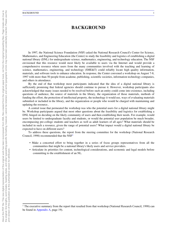# **BACKGROUND**

In 1997, the National Science Foundation (NSF) asked the National Research Council's Center for Science, Mathematics, and Engineering Education (the Center) to study the feasibility and logistics of establishing a digital national library (DNL) for undergraduate science, mathematics, engineering, and technology education. The NSF envisioned that this resource would most likely be available to users via the Internet and would provide a comprehensive resource where users from the many communities involved with the teaching and learning of science, mathematics, engineering, and technology (SME&T) could reliably locate high quality information, materials, and software tools to enhance education. In response, the Center convened a workshop on August 7-8, 1997 with more than 50 people from academe, publishing, scientific societies, information technology companies, and others in attendance.

By the end of that workshop most participants indicated that the idea of a digital national library is sufficiently promising that federal agencies should continue to pursue it. However, workshop participants also acknowledged that many issues needed to be resolved before such an entity could come into existence, including questions of audience, the source of materials in the library, the organization of those materials, methods of funding the effort, the protection of intellectual property, the technology it would use, ways of evaluating materials submitted or included in the library, and the organization or people who would be charged with maintaining and updating the resource..

A central issue that permeated the workshop was who the potential users for a digital national library might be. Workshop participants argued that most other questions about the feasibility and logistics for establishing a DNL hinged on deciding on the likely community of users and then establishing their needs. For example, would users be limited to undergraduate faculty and students, or would the potential user population be much broader, encompassing pre-college students and teachers as well as adult learners of all ages? What materials should be included in such a resource, given the range of potential users? What impact would a digital national library be expected to have on different users?

To address these questions, the report from the steering committee for the workshop (National Research Council, 1998) recommended that the NSF<sup>1</sup>

- Make a concerted effort to bring together in a series of focus groups representatives from all the communities that might be a national library's likely users and service providers.
- Articulate its priorities for content, technological considerations, and economic and legal models before committing to the establishment of an NL.

<sup>&</sup>lt;sup>1</sup> The executive summary from the report that resulted from that workshop (National Research Council, 1998) can be found in Appendix A, page 19).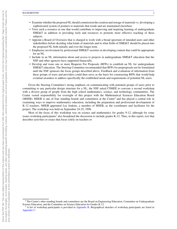- Examine whether the proposed NL should commission the creation and storage of materials vs. developing a sophisticated system of pointers to materials that reside and are maintained elsewhere.
- View such a resource as one that would contribute to improving and inspiring learning of undergraduate SME&T in addition to providing tools and resources to promote more effective teaching of these subjects.
- Appoint a Board of Overseers that is charged to work with a broad spectrum of intended users and other stakeholders before deciding what kinds of materials and in what fields of SME&T should be placed into the proposed NL both initially and over the longer term.
- Emphasize involvement by professional SME&T societies in developing content that could be appropriate for an NL.
- Include in an NL information about and access to projects in undergraduate SME&T education that the NSF and other agencies have supported financially.
- Develop and issue one or more Requests For Proposals (RFPs) to establish an NL for undergraduate SME&T education. The Steering Committee recommended that RFPs for preproposals not be formulated until the NSF sponsors the focus groups described above. Feedback and evaluation of information from these groups of users and providers could then serve as the basis for constructing RFPs that would help eventual awardees to address specifically the established needs and requirements of potential NL users.

Given the Steering Committee's strong emphasis on communicating with potential groups of users prior to committing to any particular design structure for a NL, the NSF asked CSMEE to convene a second workshop with a diverse group of people from the high school mathematics, science, and technology communities. The Center vested responsibility for oversight of this project with the Mathematical Sciences Education Board (MSEB). MSEB is one of four standing boards and committees at the Center<sup>2</sup> and has played a central role in examining ways to improve mathematics education, including the preparation and professional development of K-12 teachers. MSEB appointed Lee Jenkins, a member of MSEB, as the coordinator and facilitator for the project. The workshop was held on September 24-25, 1998.

Most of the focus of this workshop was on science and mathematics for grades 9-12, although for some issues workshop participants<sup>3</sup> also broadened the discussion to include grades K-12. Thus, in this report, text that describes activities or issues that focus solely on teachers or

<sup>&</sup>lt;sup>2</sup> The Center's other standing boards and committees are the Board on Engineering Education, Committee on Undergraduate Science Education, and the Committee on Science Education for Grades K-12.

<sup>&</sup>lt;sup>3</sup> A list of workshop participants is provided in Appendix B. Biographical sketches of workshop participants are listed in Appendix C.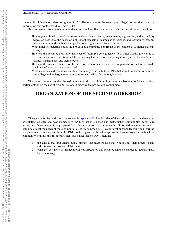students in high school refers to "grades 9-12." The report uses the term "pre-college" to describe issues or information that could extend to grades K-12.

Representatives from these communities were asked to offer their perspectives on several central questions:

- How might a digital national library for undergraduate science, mathematics, engineering, and technology education best serve the needs of high school teachers of mathematics, science, and technology, teacher educators in these disciplines, and professional organizations for teachers?
- What kinds of materials could the pre-college community contribute to the content of a digital national library?
- How can this resource best serve the needs of future pre-college teachers? In other words, how can it be used in pre-service education and for practicing teachers, for continuing development, for teachers of science, mathematics, and technology?
- How can this resource best serve the needs of professional societies and organizations for teachers to do the kinds of jobs that they have to do?
- What materials and resources can this community contribute to a DNL that would be useful to both the pre-college and undergraduate communities was well as for lifelong learners?

This report summarizes the discussion at the workshop, highlighting important issues raised by workshop participants about the use of a digital national library by the pre-college community.

# **ORGANIZATION OF THE SECOND WORKSHOP**

The agenda for the workshop is presented in Appendix D. The first day of the workshop was to be devoted to articulating whether and how members of the high school science and mathematics communities might take advantage of the content of the proposed DNL. Discussion focused on the kinds of information and resources that could best meet the needs of these communities of users, how a DNL could most enhance teaching and learning for pre-service teachers, and how the DNL could engage the broadest spectrum of users from the high school community to utilize this resource. Other issues discussed on Day 1 included:

- 1) the educational and technological barriers that teachers face that would limit their access to and utilization of the proposed DNL, and
- 2) what the designers of the technological aspects of this resource should consider to address these barriers to usage.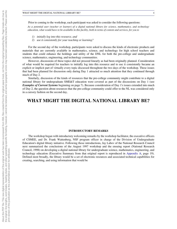Prior to coming to the workshop, each participant was asked to consider the following questions:

*As a potential user (teacher or learner) of a digital national library for science, mathematics, and technology education, what would have to be available in this facility, both in terms of content and services, for you to*

- *1) initially log into this resource, and*
- *2) use it consistently for your teaching or learning?*

For the second day of the workshop, participants were asked to discuss the kinds of electronic products and materials that are currently available in mathematics, science, and technology for high school teachers and students that could enhance the holdings and utility of the DNL for both the pre-college and undergraduate science, mathematics, engineering, and technology communities.

However, discussions of these topics did not proceed linearly as had been originally planned. Consideration of what would be required for teachers to initially log into this resource and to use it consistently became an explicit or implicit part of virtually every topic discussed throughout the two days of the workshop. These issues that had been planned for discussion only during Day 1 attracted so much attention that they continued through much of Day 2.

Similarly, discussion of the kinds of resources that the pre-college community might contribute to a digital national library for undergraduate SME&T education were covered as part of the discussions on Day 1 (see *Examples of Current Systems* beginning on page 7). Because consideration of Day 1's issues extended into much of Day 2, the question about resources that the pre-college community could offer to the NL was considered only in a cursory fashion on the second day.

# **WHAT MIGHT THE DIGITAL NATIONAL LIBRARY BE?**

### **INTRODUCTORY REMARKS**

The workshop began with introductory welcoming remarks by the workshop facilitator, the executive officers of CSMEE, and Dr. Frank Wattenberg, NSF program officer in charge of the Division of Undergraduate Education's digital library initiative. Following those introductions, Jay Labov of the National Research Council next summarized the conclusions of the August 1997 workshop and the ensuing report (National Research Council, 1998) on developing a digital national library for undergraduate science, mathematics, engineering, and technology education (Executive Summary from that original report is reproduced in Appendix A, page 19). Defined most broadly, the library would be a set of electronic resources and associated technical capabilities for creating, searching, and using information that would be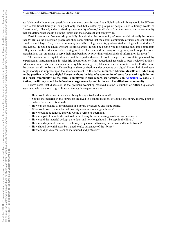Participants at the first workshop initially thought that the community of users would primarily be college faculty. But as the discussion progressed they soon realized that the actual community of users and contributors could be much larger. "It [the user community] could be college students, graduate students, high school students," said Labov. "It could be adults who are lifetime learners. It could be people who are coming back into community colleges and higher education after having worked. And it could be many other groups, such as professional organizations that are trying to serve their memberships by providing various kinds of information for them."

The content of a digital library could be equally diverse. It could range from raw data generated by experimental instrumentation in scientific laboratories or from educational research to peer reviewed articles. Educational materials could include course syllabi, reading lists, lab exercises, or entire textbooks. Furthermore, the content would not be static. Depending on the organization and procedures of a digital library, individual users might modify and improve upon the library's content. **In this sense, remarked Miriam Masullo of IBM, it may not be possible to define a digital library without the idea of a community of users for a working definition of a "user community" as the term is employed in this report, see footnote 2 in Appendix A, page 21). Rather, the library would be defined to a large extent by and for its own identified user community.**

Labov noted that discussion at the previous workshop revolved around a number of difficult questions associated with a national digital library. Among those questions are:

- How would the content in such a library be organized and accessed?
- Should the material in the library be archived in a single location, or should the library merely point to where the material is stored?
- How can the quality of the material in a library be assessed and made public?
- Who would own the intellectual property contained in a digital library?
- How would it be funded, and who would oversee its operations?
- How compatible should the material in the library be with existing hardware and software?
- How could the material be kept up to date, and how long should it be kept in the library?
- How could equitable access to the library be guaranteed to everyone who could benefit from it?
- How should potential users be trained to take advantage of the library?
- How could privacy for users be maintained and protected?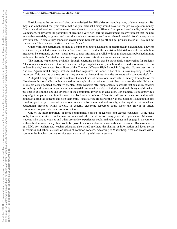Participants at the present workshop acknowledged the difficulties surrounding many of these questions. But they also emphasized the great value that a digital national library would have for the pre-college community. "Electronically-based media offer some dimensions that are very different from paper-based media," said Frank Wattenberg. "They offer the possibility of creating a very rich learning environment, an environment that includes interactive materials, programs, and tools that students can use as well as text-based material. So it's a very active environment. It's also a very connected environment. Students can go off and get primary material. They can get census data. They can get real-time data from Mars."

Other workshop participants pointed to a number of other advantages of electronically based media. They can be interactive, which distinguishes them from more passive media like television. Material available through these media can be extremely current—much more so than information available through documents published in more traditional formats. And students can work together across institutions, countries, and cultures.

The learning experiences available through electronic media can be particularly empowering for students. "One of my seniors became interested in a specific topic in plant science, which we discovered was in a report from in Scandinavia," recounted Toby Horn of the Thomas Jefferson High School in Virginia. "So we went to the National Agricultural Library's website and then requested the report. That child is now majoring in natural resources. This was one of those crystallizing events that he could see: My idea connects with someone else's."

A digital library also would complement other kinds of educational materials. Kimberly Roempler of the Eisenhower National Clearinghouse cited an example of a physics textbook that has a website with links and online projects organized chapter by chapter. Other websites offer supplemental materials that can allow students to catch up with a lesson or go beyond the material presented in a class. A digital national library could make it possible to extend the size and diversity of the community involved in education. For example, it could provide a way of getting parents and families more involved with the schools. "Parents could go into a section dealing with homework, find the concept, and help their child," said Katylee Hoover of the National Science Foundation. It also could support the provision of educational resources for a multicultural society, reflecting different social and educational practices within society. In general, electronic resources could foster the growth of virtual communities organized around common interests.

One of the most important of these communities consists of teachers and teacher educators. Using these tools, teacher educators could remain in touch with their students for many years after graduation. Moreover, students who shared courses and other preservice experiences could maintain contact and engage in discussions with each other more easily than would be possible via other electronic methods such as e-mail. Discussion areas in a DNL for teachers and teacher educators also would facilitate the sharing of information and ideas across universities and school districts on issues of common concern. According to Wattenberg, "We can create virtual communities in which our pre-service teachers are talking with our in-service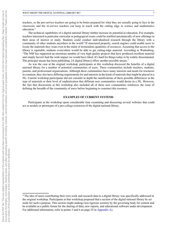teachers, so the pre-service teachers are going to be better prepared for what they are actually going to face in the classroom; and the in-service teachers can keep in touch with the cutting edge in science and mathematics education."

The technical capabilities of a digital national library further increase its potential in education. For example, teachers interested in particular curricular or pedagogical issues could be notified automatically of new offerings in their areas of interest or study. Students could conduct individualized research through the library with a community of other students anywhere in the world.4 If structured properly, search engines could enable users to locate the materials they want even in the midst of tremendous quantities of resources. Assuming that access to the library is equitable, students everywhere would be able to get cutting-edge material. According to Wattenberg, "The NSF has supported an enormous number of very high quality projects that have produced excellent material and simply haven't had the wide impact we would have liked. It's hard for things today to be widely disseminated. The principal means has been publishing. [A digital library] offers another possible means."

As was the case at the original workshop, participants at this workshop discussed the benefits of a digital national library for a number of potential communities of users. These communities include teachers, students, parents, and professional organizations. Although these communities have many interests and needs for resources in common, they also have differing requirements for and interests in the kinds of materials that might be placed in a NL. Current workshop participants did not consider in depth the ramifications of these possible differences in the type of materials or their level of sophistication that different user communities would desire in a NL. However, the fact that discussions at this workshop also included all of these user communities reinforces the issue of defining the breadth of the community of users before beginning to construct this resource.

# **EXAMPLES OF CURRENT SYSTEMS**

Participants at the workshop spent considerable time examining and discussing several websites that could act as models or prototypes of a pre-college extension of the digital national library.

<sup>4</sup> The idea of users contributing their own work and research data to a digital library was specifically addressed in the original workshop. Participants at that workshop proposed that a section of the digital national library be set aside for such a purpose. This section might undergo less rigorous scrutiny by the governing body for content and be available as a public forum for the sharing of data, new reports, and educational software under development. For additional information, refer to points 3 and 6 on page 25 in Appendix A).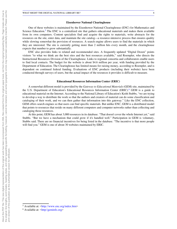### **Eisenhower National Clearinghouse**

One of these websites is maintained by the Eisenhower National Clearinghouse (ENC) for Mathematics and Science Education.<sup>[5](#page-13-0)</sup> The ENC is a centralized site that gathers educational materials and makes them available from its own computers. Content specialists find and acquire the rights to materials, write abstracts for the resources on the site, enter data, and maintain the site catalog—a resource-intensive process that ensures quality while slowing somewhat the provision of resources. A search engine allows users to find the materials in which they are interested. The site is currently getting more than 2 million hits every month, and the clearinghouse expects that number to grow substantially.

ENC also provides links to related and recommended sites. A frequently updated "Digital Dozen" points visitors "to what we think are the best sites and the best resources available," said Roempler, who directs the Instructional Resources Division of the Clearinghouse. Links to regional consortia and collaborators enable users to find local contacts. The budget for the website is about \$4.6 million per year, with funding provided by the Department of Education. The Clearinghouse has limited means for raising money, according to Roempler, and is dependent on continued federal funding. Evaluations of ENC products (including their website) have been conducted through surveys of users, but the actual impact of the resources it provides is difficult to measure.

#### **Educational Resources Information Center (ERIC)**

A somewhat different model is provided by the *Gateway to Educational Materials* (GEM) site, maintained by the U.S. Department of Education's Educational Resources Information Center (ERIC).<sup>6</sup> GEM is a guide to educational material on the Internet. According to the National Library of Education's Keith Stubbs, "we are trying to develop a way to distribute the work so that the authors and creators of material can do some classification and cataloging of their work, and we can then gather that information into this gateway." Like the ENC collection, GEM offers search engines so that users can find specific materials. But unlike ENC, GEM is a distributed model that points to resources that reside on many different computers and computer networks rather than collecting and cataloging those resources.

<span id="page-13-0"></span>At this point, GEM has about 3,000 resources in its database. "That doesn't cover the whole Internet yet," said Stubbs. "But we have a mechanism that could grow if it's handled well." Participation in GEM is voluntary, Stubbs said. There are no financial incentives for being listed in the database. "The incentive is that more people will find you." GEM is one of about 30 websites maintained by ERIC.

<sup>5</sup> Available at: <<http://www.enc.org/index.htm>>

<sup>6</sup> Available at: <http//geminfo.org>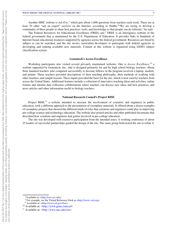Another ERIC website is *Ask Eric,*[7](#page-14-0) which gets about 1,000 questions from teachers each week. There are at least 70 other "ask an expert" services on the Internet, according to Stubbs.[8](#page-14-0)"We are trying to develop a community of these people to share best practices, tools, and knowledge so that people can do referrals," he said.

The Federal Resources for Educational Excellence (FREE) site.<sup>[9](#page-14-0)</sup> FREE is an interagency website of the federal government that is maintained by the U.S. Department of Education. It provides links to hundreds of Internet-based educational resources supported by agencies across the federal government. Resources are listed by subject or can be searched, and the site invites curriculum developers to participate with federal agencies in developing and making available new materials. Content at this website is organized using GEM's subject classification system.

# **Genentech's Access Excellence**

Workshop participants also visited several privately maintained websites. One is *Access Excellence,*[10](#page-14-0) a website supported by Genentech, Inc., that is designed primarily for and by high school biology teachers. About three hundred teachers who competed successfully to become fellows in the program received a laptop, modem, and printer. These teachers provided descriptions of their teaching philosophy, their methods of working with other teachers, and sample lessons. These inputs provided the basis for the site, which is now used by teachers from across the United States. Additional features include a collection of innovative teaching ideas and activities, online forums and internet data collection collaborations where teachers can discuss new ideas and best practices, and news articles and other information useful to biology teachers.

### **National Research Council's Project RISE**

<span id="page-14-0"></span>Project RISE,<sup>11</sup> a website intended to increase the involvement of scientists and engineers in public education, took a different approach to the presentation of exemplary materials. It offered about a dozen examples of exemplary projects that showed the different kinds of roles that scientists and engineers could play in improving pre-college science and technology education. The website also posted articles and other published documents that described how scientists and engineers had gotten involved in pre-college education.

The site was developed with extensive participation from the intended users. A working conference of about 25 leaders of successful partnerships guided the design of the site. The same group field-tested the site to refine it.

<sup>7</sup>Available at: <<http://eric.syr.edu>>

<sup>8</sup> For example, see the Virtual Reference Desk at [<http://www.vrd.org>](http://www.vrd.org)

<sup>&</sup>lt;sup>9</sup> Available at: [<http://www.ed.gov/free>](http://www.ed.gov/free)

<sup>&</sup>lt;sup>10</sup> Available at:  $\langle \frac{http://www.gene.com/ae}{$ 

 $11$  Available at:  $\langle \frac{http://www.nas.edu/rise\rangle}{http://www.nas.edu/rise\rangle}$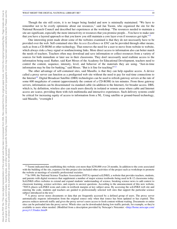One interesting point made about some of the websites examined is that they do not necessarily have to be provided over the web. Self-contained sites like *Access Excellence* or *ENC* can be provided through other means, such as from a CD-ROM or other technology. That removes the need for a user to move from website to website, which always risks a busy signal or nonfunctioning links. More direct access to information also can better match the needs of teachers. Teachers often may download and save information or collect resources from a variety of sources for both immediate or later use in their classrooms. They don't necessarily need realtime access to the information being used. Rather, said Kurt Moses of the Academy for Educational Development, teachers need to control the content, sequence, intensity, level, and behavior of the materials they are using. "Just-in-time information may be fine for banking," said Moses. "But is it fine for teaching?["13](#page-15-0)

<span id="page-15-0"></span>The other advantage of self-contained sites, said Masullo, is that they can help equalize access. A device called a proxy server can function as a predigested web site without the need to pay for real-time connections to the Internet<sup>14</sup>. Digital Broadcast Satellite (DBS) technologies can be used to refresh gateway servers at the rate of some 600 megabytes of content (approximately the content of a CD-ROM) in ten minutes. From those gateway servers, information can be disseminated via standard cable (in addition to the Internet), for broader access. DBS, which is, by definition, wireless also can reach users directly in isolated or remote areas where cable and Internet access are scarce, providing them with rich multimedia and interactive experiences. Such delivery systems could be critical for increasing equity of access to information from a NL. Using satellite or ground-based technology, said Masullo, "overnight I

 $12$  Tuomi indicated that establishing this website cost more than \$250,000 over 24 months. In addition to the costs associated with the building of the site, expenses for this project also included other activities of the project such as workshops to promote the website at meetings of scientific professional societies.

 $^{13}$  In 1999, the National Science Teachers Association (NSTA) opened sciLINKS, a website that provides teachers, students, and parents with digital resources that supplement a number of major science textbooks being used in K-12 classrooms today. SciLINKS offers websites to extend and expand students' understanding of science, breaking science news to add context to classroom learning, science activities, and experts to answer questions. According to the announcement of this new website, "NSTA places sciLINKS icons and codes in textbook margins at key subject areas. By accessing the sciLINKS web site and entering the code, students and teachers are guided to professionally selected web sites that support the particular science subject introduced in the text."

<sup>&</sup>lt;sup>14</sup> A proxy server stores documents or data that are frequently accessed by a defined group of users. The proxy server automatically requests information from the original source only when that source has been updated or has expired. This process reduces network traffic and gives the proxy server's users access to fresh content without waiting. Documents or entire sites can be preloaded into the proxy server. Whole sites can be downloaded during low-traffic periods, for example, so they're available to users when needed. (Modified from a description provided by Netscape's Netcenter: <[http://home.netscape.com/](http://home.netscape.com/proxy/v3.5/index.html) [proxy/v3.5/index.html](http://home.netscape.com/proxy/v3.5/index.html)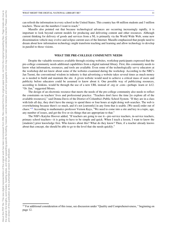can refresh the information in every school in the United States. This country has 48 million students and 3 million teachers. Those are the numbers I want to reach."

Masullo also pointed out that because technological advances are occurring increasingly rapidly, it is important to look beyond current models for producing and delivering content and other resources. Although current thinking for delivery of goods and services from a NL is primarily via the World Wide Web, some new dissemination vehicle may evolve and eclipse current uses of the Internet. Masullo emphasized that people need to dream about how information technology might transform teaching and learning and allow technology to develop in parallel to those visions.

### **WHAT THE PRE-COLLEGE COMMUNITY NEEDS**

Despite the valuable resources available through existing websites, workshop participants expressed that the pre-college community needs additional capabilities from a digital national library. First, this community needs to know what information, resources, and tools are available. Even some of the technologically savvy educators at the workshop did not know about some of the websites examined during the workshop. According to the NRC's Jan Tuomi, the conventional wisdom in industry is that advertising a website takes several times as much money as is needed to build and maintain the site. A given website would need to achieve a critical mass of users and publicity before educators could be assumed to know about it. One possible way of publicizing resources, according to Jenkins, would be through the use of a new URL instead of .org or .com—perhaps .learn or .k12. "Or .fun," suggested Moses.

The design of an electronic resource that meets the needs of the pre-college community also needs to reflect the constraints on teachers' lives and professional practice. "Teachers don't have the time [to explore all of the available resources]," said Donna Davis of the District of Columbia's Public School System. "If they are in a class with kids all day, they don't have the energy to spend three or four hours at night doing web searches. The web is overwhelming because there's so much, and it's not [currently] in any form that is usable. [We need] order out of chaos."[15](#page-16-0) According to mathematics professor Vernon Kays, "We need to come into a site and key in a topic, age, any number of issues, and get the five or six things that are appropriate to that."

<span id="page-16-0"></span>The NSF's Katylee Hoover added, "If teachers are going to use it—pre-service teachers, in-service teachers, primary school teachers—it is going to have to be simple and quick. When I teach a lesson, I want to know the [students'] prior knowledge first. Who knows about this? What do they know? Then, if a teacher already knows about that concept, she should be able to go to the level that she needs quickly."

<sup>&</sup>lt;sup>15</sup> For additional consideration of this issue, see discussion under "Quality and Comprehensiveness, " beginning on page 12.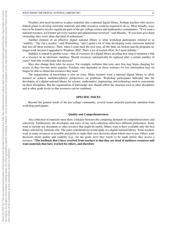Teachers also need incentives to place materials into a national digital library. Perhaps teachers who receive federal grants to develop curricular materials and other resources could be required to do so. More broadly, ways have to be found to involve significant parts of the pre-college science and mathematics communities. "If we want a national resource, we'd better get every teacher and administrator involved," said Masullo. "If you don't give them ownership, they won't share that kind of enthusiasm."

Another element of an effective digital national library is what workshop participants referred to as 'stability.' "Say I'm a teacher," said Wattenberg, "and I spend a lot of time developing some classroom material that uses all these resources. Then, when I come back the next year, all the links are broken and the programs no longer work because I upgraded to Windows 2002. That's a lot of wasted effort. So I need stability."

Stability is related to another issue—that of overseers of a digital library deciding how long to maintain a link or a resource in an electronic database. Should resources automatically be replaced after a certain number of years? And who would make that decision?

Sites also change their rules for access. For example, websites that were once free may begin charging for access as they become more popular. Teachers who depended on those websites for key information may no longer be able to obtain the resources they need.

The organization of knowledge is also an issue. Many teachers want a national digital library to allow learners to achieve multidisciplinary perspectives on problems. Workshop participants indicated that the developers of a digital national library for science, mathematics, engineering, and technology need to concentrate on these disciplines. But the organization of knowledge also should reflect the structure used in other disciplines and at other grade levels so that resources can be combined.

# **SPECIFIC ISSUES**

Beyond the general needs of the pre-college community, several issues attracted particular attention from workshop participants.

### **Quality and Comprehensiveness**

Any collection of materials must draw a balance between the competing demands of comprehensiveness and selectivity. Furthermore, the developers and users of any such collection often have different preferences. Some want to include any document or other resource that might be useful. Others want to have available only the best things selected by someone else. The same considerations would apply in a digital national library. Some teachers want as many resources as possible and prefer to make their own decisions about which ones to use. Others want decisions about quality and usability (e.g., for the grade level they teach) to be made before they access a resource. **"The feedback that I have received from teachers is that they are tired of mediocre resources and want materials that have worked for others, and therefore**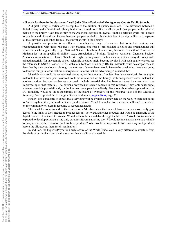A digital library is particularly susceptible to the dilution of quality resources. "The difference between a digital library and a 'traditional' library is that in the traditional library all the junk that people publish doesn't make it to the library," said James Stith of the American Institute of Physics. "In the electronic world, all I need is to type it in and hit send, and it's out there and people can find it...Is the function of the digital library to separate all the stuff that is published from all the stuff that gets in the library?"

A possible compromise is to offer a comprehensive range of materials but to include reviews and recommendations with those resources. For example, one role of professional societies and organizations that represent teachers generally (e.g., National Science Teachers Association, National Council of Teachers of Mathematics) or in specific disciplines (e.g., Association of Biology Teachers, American Chemical Society, American Association of Physics Teachers), might be to provide quality checks, just as many do today with printed materials (for an example of how scientific societies might become involved with such quality checks, see the reference to NSTA's new sciLINKS website in footnote 13 on page 10). Or, materials could be categorized and described by their developers, although the motives of the reviewer would have to be considered. "Are they going to describe things in terms that are descriptive or in terms that are advertising?" asked Stubbs.

Materials also could be categorized according to the amount of review they have received. For example, materials that have been peer reviewed could be in one part of the library, with non-peer-reviewed material in another section. Perhaps another section could include material that has been reviewed by users who have improved upon that material. The obvious drawback of such a scheme is that reviewing inevitably takes time, whereas materials placed directly on the Internet can appear immediately. Decisions about what is placed into the DL ultimately would be the responsibility of the board of overseers for this resource (also see the Executive Summary from report of the first digital library conference, Appendix A, page 25).

Finally, it is unrealistic to expect that everything will be available somewhere on the web. "You're not going to find everything that you need out there [on the Internet]," said Roempler. Some material will need to be added by the community of users in response to recognized needs.

This need for users to add to the content of a NL also raises the issue of how users can most easily gain access to the kinds of tools needed to produce lessons, software, and other products that would be amenable to the digital format of this kind of resource. Would such tools be available through the NL itself? Would contributors be expected to develop products using only certain software authoring tools? Would technical assistance be available to people who wish to develop such tools or products? Who would be responsible for reviewing such products before the NL accepts them for dissemination?

In addition, the hypertext/hyperlink architecture of the World Wide Web is very different in structure from the kinds of curricular materials that teachers have traditionally used for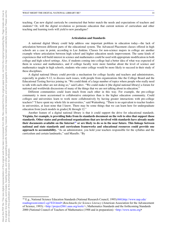teaching. Can new digital curricula be constructed that better match the needs and expectations of teachers and students? Or, will the digital revolution so permeate education that current notions of curriculum and other teaching and learning tools will yield to new paradigms?

### **Articulation and Standards**

A national digital library could help address one important problem in education today—the lack of articulation between different parts of the educational system. The Advanced Placement classes offered in high schools are a case in point, according to Lee Jenkins. Classes for non-science majors in college are another example where articulation between high school and higher education needs improvement. The same kinds of experiences that will build interest in science and mathematics could be used with appropriate modification in both college and high school settings. Also, if students coming into college had a better idea of what was expected of them in science and mathematics, and if college faculty were more familiar about the level of science and mathematics taught in high schools, students who enter college would be more likely to succeed in their study of these disciplines.

<span id="page-19-0"></span>A digital national library could provide a mechanism for college faculty and teachers and administrators, especially in grades 9-12, to discuss such issues, with people from organizations like the College Board and the Educational Testing Service joining in. "We could think of a large number of topics where people who really need to talk with each other are not doing so," said Labov. "We could make it [the digital national library] a forum for national and worldwide discussions of many of the things that we are not talking about in education."

Different communities could learn much from each other in this way. For example, the pre-college community is more accustomed to collaborative enterprises than is the higher education community. Could colleges and universities learn to work more collaboratively by having greater interactions with pre-college teachers? "I have spent my whole life in universities," said Wattenberg. "There is no equivalent to teacher leaders in universities, at least none that I know. There may be some things that we can learn here for undergraduate education from [such models in grades] K through 12."

Another feature of a digital national library is that it could support the drive for educational standards. **Virginia, for example, is providing links from its standards document on the web to sites that support those standards. Other states and professional organizations that are involved with standards have already made their documents available on the Internet**[16](#page-19-0) **or are likely to do so in the near future. This linkage between national and state standards and curriculum frameworks and educational resources could provide one approach to accountability.** "As an administrator, you hold your teachers responsible for the syllabus and the curriculum and certain landmarks," said Masullo. "By

<sup>16</sup> E.g., National Science Education Standards (National Research Council, 1995)[:060;http://www.nap.edu/](http://www.nap.edu/readingroom/enter2.cgi?ED.html) [readingroom/enter2.cgi?ED.html](http://www.nap.edu/readingroom/enter2.cgi?ED.html);*Benchmarks for Science Literacy* (American Association for the Advancement of Science, 1993): [<http://project2061.aaas.org/tools/](http://project2061.aaas.org/tools/)>; Mathematics Standards and the forthcoming Standards 2000 (National Council of Teachers of Mathematics (1988 and in preparation): [<http://www.nctm.org](http://www.nctm.org)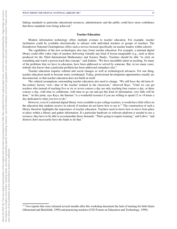linking standards to particular educational resources, administrators and the public could have more confidence that those standards were being achieved."

#### **Teacher Education**

Modern information technology offers multiple avenues to teacher education. For example, teacher facilitators could be available electronically to interact with individual teachers or groups of teachers. The Eisenhower National Clearinghouse offers such a service focused specifically on teacher leaders within schools.

The capabilities of the new technologies also may foster teacher education. For example, a national digital library could offer video clips of teachers delivering virtually any kind of lesson imaginable (e.g., such as those produced for the Third International Mathematics and Science Study). Teachers should be able "to click on something and watch a person teach that concept," said Jenkins. "We have incredible talent in teaching. So many of the problems that we have in education, have been addressed or solved by someone. But, in too many cases, nobody else knows that a particular problem has been addressed someplace else."

Teacher education requires cultural and social changes as well as technological advances. For one thing, teacher education needs to become more coordinated. Today, professional development opportunities usually are disconnected, so that teacher education does not build on itself.

<span id="page-20-0"></span>The cultural assumptions surrounding teacher education also need to change. "We still have the old turn-ofthe-century factory view—that of the teacher isolated in the classroom," observed Kays. "Until we can get teachers who instead of teaching five or six or seven courses a day are only teaching four courses a day, or three courses a day, with time to collaborate, with time to go out and get this kind of information, very little will be done." At this point, says Kays, the Internet "is a wonderful resource if you are willing to spend 12 or 14 hours a day dedicated to what you love to do."

However, even if a national digital library were available to pre-college teachers, it would have little effect on the education that students receive in schools if teachers do not know how to use it.<sup>17</sup> The construction of such a library therefore highlights the importance of teacher education. Teachers need to know how to move from place to place within a library and gather information. If a particular hardware or software platform is needed to use a resource, they have to be able to accommodate those demands. "That's going to require training," said Labov, "and districts don't necessarily have the funds to do that."

<sup>&</sup>lt;sup>17</sup> Two reports that were released several months after this workshop document the lack of training for both future (Moursund and Bielefeldt, 1999) and practicing teachers (CEO Forum on Education and Technology, 1999).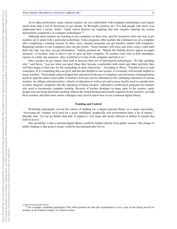As in other professions, many current teachers are not comfortable with computer technologies and require much more than a list of directions to get started. As Roempler pointed out, "I've had people who don't even understand how a mouse works." Some school districts are requiring that new teachers entering the system demonstrate competency in computer technologies.<sup>[18](#page-21-0)</sup>

Although more teachers are learning to use computers on their own, specific incentives offer one way to get teachers up to speed with a particular technology. Some programs offer teachers the continued use of a computer after completing a training session. In other cases, summer programs can get teachers started with computers. Requiring teachers to use computers also can get results. "Some teachers will resist and resist using e-mail until that's the only way they can get information," Jenkins pointed out. "Maybe the bulletin doesn't appear on paper anymore—if teachers want it, they've got to open up their computer. Or teachers can't turn in their attendance reports on a little slip anymore—they would have to turn on the computer and turn it in."

<span id="page-21-0"></span>Once teachers do get started, they tend to increase their use of information technologies. "It's like anything else," said Davis, "you use what you need. Once they become comfortable with email and other activities they will then begin to find uses for the technology in their classrooms." According to Horn, "Teachers have to start someplace. If it's something that can grow and become helpful to one teacher, it eventually will become helpful to many teachers." Participants acknowledged that education in the use of computers and electronic communications needs to span the entire career paths of teachers, from pre-service education to the continuing education of veteran teachers. In colleges and universities, schools of education as well as arts and science faculty need to consider how to better integrate computers into the education of future teachers. Alternative certification programs for teachers also need to incorporate computer training. Because of teacher shortages in many parts of the country, many people now are being hired into teaching without the formal background usually required of new teachers, yet both these teachers and their more senior colleagues may need to know how to use a national digital library.

# **Funding and Control**

Workshop participants viewed the source of funding for a digital national library as a major uncertainty. "Accessing the volumes we'd need for a good, intelligent, graphically rich environment takes a lot of money." Masullo said. "Let me go farther than that. It requires a very large and steady infusion of dollars to sustain that kind of access."

One possibility is that a national digital library would be funded entirely from public sources. The danger of public funding is that project money could be discontinued after five to

<sup>&</sup>lt;sup>18</sup> For example, workshop participant Toby Horn pointed out that this requirement is now a part of the hiring record for teachers in the Fairfax County, VA school system.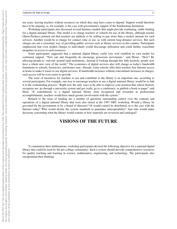ten years, leaving teachers without resources on which they may have come to depend. Support would therefore have to be ongoing, as, for example, is the case with government's support of the Smithsonian Institution.

Workshop participants also discussed several business models that might provide continuing, stable funding for a digital national library. One model is to charge teachers or schools for use of the library, although teacher Ghent-Paolucci pointed out that teachers are unlikely to be willing to pay more than a modest amount for such services. Another would be to charge for connect time or use, as with current long-distance services. But such charges are not a customary way of providing public services such as library services in this country. Participants emphasized that even modest charges to individuals would discourage utilization and could further exacerbate inequities in access to such resources.

Some participants suggested that a national digital library could very well establish its own model for continued support. "Nets can and frequently do encourage grassroots movements," said Moses. "How? By allowing people to 'end-run' around rigid institutions...Instead of looking through this little keyhole, people now have a whole new view of the world." The economics of digital services also will change as today's bandwidth limitations to schools, businesses, and homes ease. Already, some schools offer their teachers free Internet access at home to make it easier to use digital services. If bandwidth increases without concomitant increases in charges, such access will be even easier to provide.

The issue of incentives for teachers to use and contribute to the library is an important one, according to several participants. For example, one way to encourage teachers to use a digital national library would be to link it to the credentialing process. "Right now the only ways to be able to improve your position that school districts recognize are: go through a university system and get credit, go to a conference, or publish a book or paper" said Horn. "If contributions to a digital national library were recognized and rewarded as professional accomplishments, teachers would have much greater involvement with the system."

Related to the issue of funding are a number of questions surrounding control over the contents and operations of a digital national library that were also raised at the 1997 NRC workshop. Would a library be governed by the government or by a board of directors? Or would control be distributed, as is the case with the Internet today? Who would dictate the system standards to guarantee interoperability? And who would make decisions concerning what the library would contain or how materials are reviewed and cataloged?

# **VISIONS OF THE FUTURE**

To summarize their deliberations, workshop participants devised the following objective for a national digital library that could be used by the pre-college community: Such a system should provide comprehensive resources for quality teaching and learning in science, mathematics, engineering, and technology. The participants also encapsulated their thinking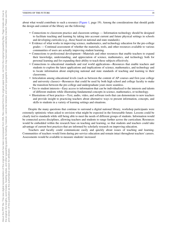about what would contribute to such a resource (Figure 1, page 19). Among the considerations that should guide the design and content of the library are the following:

- Connections to classroom practice and classroom settings Information technology should be designed to facilitate teaching and learning by taking into account current and future physical settings in schools and developing curricula (e.g., those based on national and state standards).
- Evidence of what works in improving science, mathematics, and technology education for the pre-college grades — Continual assessment of whether the materials, tools, and other resources available to various communities of users are actually improving student learning.
- Connections to professional development—Materials and other resources that enable teachers to expand their knowledge, understanding, and appreciation of science, mathematics, and technology both for personal learning and for expanding their ability to teach these subjects effectively.
- Connections to educational standards and real world applications—Resources that enable teachers and students to explore the latest applications and implications of science, mathematics, and technology and to locate information about employing national and state standards of teaching and learning to their classrooms.
- Articulation among educational levels (such as between the content of AP courses and first-year college and university classes)—Resources that could be used by both high school and college faculty to make the transition between the pre-college and undergraduate years more seamless.
- Ties to student interests—Easy access to information that can be individualized to the interests and talents of different students while illustrating fundamental concepts in science, mathematics, or technology.
- Illustrations of best practice—Text, audio, video, and software tools that can demonstrate to new teachers and provide insight to practicing teachers about alternative ways to present information, concepts, and skills to students in a variety of learning settings and situations.

Despite the many questions that continue to surround a digital national library, workshop participants were extremely optimistic when asked to envision what might be expected in the foreseeable future. Lessons could be clearly tied to standards while still being able to meet the needs of different groups of students. Information would be connected across disciplines, allowing teachers and students to range further across the curriculum. Resources would be embedded within the research base on teaching and learning, so that students and teachers could take advantage of current best practices that are informed by scholarly research on improving education.

Teachers and faculty could communicate easily and quickly about issues of teaching and learning. Communities of teachers would form during pre-service education and remain intact throughout teachers' careers. Assessments would be available to measure students' increased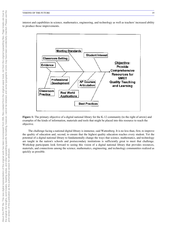interest and capabilities in science, mathematics, engineering, and technology as well as teachers' increased ability to produce those improvements.



**Figure 1:** The primary objective of a digital national library for the K-12 community (to the right of arrow) and examples of the kinds of information, materials and tools that might be placed into this resource to reach the objective.

The challenge facing a national digital library is immense, said Wattenberg. It is no less than, first, to improve the quality of education and, second, to ensure that the highest quality education reaches every student. Yet the potential of a digital national library to fundamentally change the ways that science, mathematics, and technology are taught in the nation's schools and postsecondary institutions is sufficiently great to meet that challenge. Workshop participants look forward to seeing this vision of a digital national library that provides resources, materials, and connections among the science, mathematics, engineering, and technology communities realized as quickly as possible.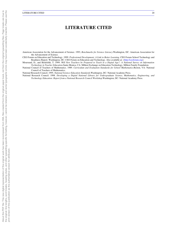# **LITERATURE CITED**

American Association for the Advancement of Science. 1993, *Benchmarks for Science Literacy.*Washington, DC: American Association for the Advancement of Science.

CEO Forum on Education and Technology. 1999. *Professional Development: A Link to Better Learning.* CEO Forum School Technology and Readiness Report. Washington, DC: CEO Forum on Education and Technology. Also available at: [<http://ceoforum.org>](http://ceoforum.org)

Moursund, D., and Bielefeldt, T. 1999. *Will New Teachers be Prepared to Teach in a Digital Age?: A National Survey on Information Technology in Teacher Education*.Santa Monica, CA: Milken Exchange on Education Technology, Milken Family Foundation.

National Council of Teachers of Mathematics. 1989. *Curriculum and Evaluation Standards for School Mathematics.*Reston, VA: National Council of Teachers of Mathematics.

National Research Council. 1995. *National Science Education Standards.*Washington, DC: National Academy Press.

National Research Council. 1998. *Developing a Digital National Library for Undergraduate Science, Mathematics, Engineering, and Technology Education: Report from a National Research Council Workshop.*Washington, DC: National Academy Press.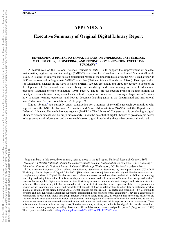# **APPENDIX A**

# **Executive Summary of Original Digital Library Report**

# **DEVELOPING A DIGITAL NATIONAL LIBRARY ON UNDERGRADUATE SCIENCE, MATHEMATICS, ENGINEERING, AND TECHNOLOGY EDUCATION: EXECUTIVE SUMMAR[Y\\*](#page-26-0)**

<span id="page-26-0"></span>A central role of the National Science Foundation (NSF) is to support the improvement of science, mathematics, engineering, and technology (SME&T) education for all students in the United States at all grade levels. In its quest to catalyze and sustain educational reform at the undergraduate level, the NSF issued a report in 1996 on the status of undergraduate SME&T education (National Science Foundation, 1996b). That report called for fundamental changes in the ways in which SME&T subjects are taught and urged the agency to sponsor the development of "a national electronic library for validating and disseminating successful educational practices" (National Science Foundation, 1996b, page 72) and to "provide specific problem training sessions for faculty across institutions, in topics such as how to do inquiry and collaborative learning in large 'lecture' classes, how to assess learning outcomes, and how to document learning gains at the departmental and institutional levels" (National Science Foundation, 1996b, page 72).

Digital libraries<sup>1</sup> are currently under construction for a number of scientific research communities with support from the NSF, the National Aeronautics and Space Administration (NASA), and the Department of Defense's Advanced Research Projects Agency (DARPA). The Library of Congress also is developing a digital library to disseminate its vast holdings more readily. Given the potential of digital libraries to provide rapid access to large amounts of information and the research base on digital libraries that these other projects already had

<sup>\*</sup> Page numbers in this executive summary refer to those in the full report, National Research Council, 1998. *Developing a Digital National Library for Undergraduate Science, Mathematics, Engineering, and Technology Education: Report of a National Research Council Workshop.* Washington, DC: National Academy Press.

<sup>&</sup>lt;sup>1</sup> Dr. Christine Borgman, UCLA, offered the following definition as determined by participants at the UCLA/NSF Workshop, "Social Aspects of Digital Libraries": "[Workshop participants] determined that digital libraries encompass two complementary ideas: 1. Digital libraries are a set of electronic resources and associated technical capabilities for creating, searching, and using information. In this sense they are an extension and enhancement of information storage and retrieval systems that manipulate digital data in any medium (text, images, sounds, static or dynamic images) and exist in distributed networks. The content of digital libraries includes data, metadata that describe various aspects of data (e.g., representation, creator, owner, reproduction rights), and metadata that consists of links or relationships to other data or metadata, whether internal or external to the digital library; and 2. Digital libraries are constructed— collected and organized— by a community of users, and their functional capabilities support the information needs and uses of that community. They are a component of communities in which individuals and groups interact with each other, using data, information, and knowledge resources and systems. In this sense they are an extension, enhancement, and integration of a variety of information institutions as physical places where resources are selected, collected, organized, preserved, and accessed in support of a user community. These information institutions include, among others, libraries, museums, archives, and schools, but digital libraries also extend and serve other community settings, including classrooms, offices, laboratories, homes, and public spaces." (Borgman et al., 1996) This report is available on line at [http://www.gslis.ucla.edu/DL/UCLA\\_DL\\_REPORT.html.](http://www.gslis.ucla.edu/DL/UCLA_DL_REPORT.html)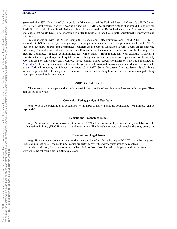#### APPENDIX A 22

generated, the NSF's Division of Undergraduate Education asked the National Research Council's (NRC) Center for Science, Mathematics, and Engineering Education (CSMEE) to undertake a study that would 1) explore the feasibility of establishing a digital National Library for undergraduate SME&T education and 2) examine various challenges that would have to be overcome in order to build a library that is both educationally innovative and cost effective.

In collaboration with the NRC's Computer Science and Telecommunications Board (CSTB), CSMEE responded to NSF's request by forming a project steering committee consisting of representatives from the NRC's four postsecondary boards and committees (Mathematical Sciences Education Board, Board on Engineering Education, Committee on Undergraduate Science Education, and the Committee on Information Technology). The Steering Committee, in turn, commissioned ten "white papers" from individuals with expertise in SME&T education, technological aspects of digital libraries, library science, and economic and legal aspects of this rapidly evolving area of knowledge and research. These commissioned papers (revisions of which are reprinted in Appendix A of this report) served as the basis for plenary and break-out discussions at a workshop that was held at the National Academy of Sciences on August 7-8, 1997. Some 50 guests from academe, digital library initiatives, private laboratories, private foundations, research and teaching libraries, and the commercial publishing sector participated in this workshop.

### **ISSUES CONSIDERED**

The issues that these papers and workshop participants considered are diverse and exceedingly complex. They include the following:

### **Curricular, Pedagogical, and User Issues**

(e.g., Who is the potential user population? What types of materials should be included? What impact can be expected?)

# **Logistic and Technology Issues**

(e.g., What kinds of editorial oversight are needed? What kinds of technology are currently available to build such a national library (NL)? How can a multi-year project like this adapt to new technologies that may emerge?)

#### **Economic and Legal Issues**

(e.g., How can we estimate or measure the costs and benefits of establishing an NL? What are the long-term financial implications? How could intellectual property, copyright, and "fair use" issues be resolved?)

At the workshop, Steering Committee Chair Jack Wilson also charged participants with trying to arrive at answers to the following cross-cutting questions: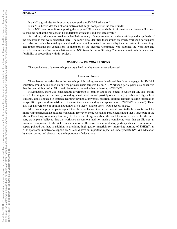Is an NL a good idea for improving undergraduate SME&T education?

Is an NL a better idea than other initiatives that might compete for the same funds?

If the NSF does commit to supporting the proposed NL, then what kinds of information and issues will it need to consider so that the project can be undertaken efficiently and cost effectively?

Accordingly, this report provides a detailed summary of the presentations at the workshop and a synthesis of the discussions that were generated there. The report also identifies those issues on which workshop participants were able to reach substantial agreement and those which remained unresolved by the conclusion of the meeting. The report presents the conclusions of members of the Steering Committee who attended the workshop and provides a number of recommendations to the NSF from the entire Steering Committee about both the value and feasibility of proceeding with this project.

### **OVERVIEW OF CONCLUSIONS**

The conclusions of the workshop are organized here by major issues addressed.

### **Users and Needs**

These issues pervaded the entire workshop. A broad agreement developed that faculty engaged in SME&T education would be included among the primary users targeted by an NL. Workshop participants also concurred that the central focus of an NL should be to improve and enhance learning of SME&T.

Nevertheless, there was considerable divergence of opinion about the extent to which an NL also should provide learning resources directly to undergraduate students and possibly other users (e.g., advanced high school students, adults engaged in distance learning through a university program, lifelong learners seeking information on specific topics, or those wishing to increase their understanding and appreciation of SME&T in general). There also was a divergence of opinion about how often these "student users" would access an NL.

Most workshop participants agreed that the establishment of an NL could potentially be a useful tool for improving undergraduate SME&T education. However, some workshop participants noted that a large part of the SME&T teaching community has not yet felt a sense of urgency about the need for reform. Indeed, for the most part, participants believed that the workshop discussions had not made a convincing case that an NL was an essential component of SME&T education reform. However, some workshop participants and commissioned papers pointed out that, in addition to providing high-quality materials for improving learning of SME&T, an NSF-sponsored initiative to support an NL could have an important impact on undergraduate SME&T education by underscoring and showcasing the importance of educational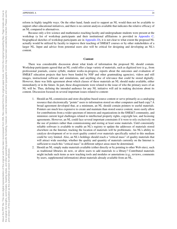reform in highly tangible ways. On the other hand, funds used to support an NL would then not be available to support other educational initiatives, and there is no current analysis available that indicates the relative efficacy of an NL compared to alternatives.

Because only a few science and mathematics teaching faculty and undergraduate students were present at the workshop (a list of workshop participants and their institutional affiliations is provided in Appendix C; biographical sketches of workshop participants are in Appendix D), it is not clear to what extent the proposed NL actually would be utilized by faculty to improve their teaching of SME&T courses or by other stakeholders of a larger NL. Input and advice from potential users also will be critical for designing and developing an NL's content.

### **Content**

There was considerable discussion about what kinds of information the proposed NL should contain. Workshop participants agreed that an NL could offer a large variety of materials, such as digitized text (e.g., from professional journals, course syllabi, student works-in-progress, reports about the outcomes and evaluation of SME&T education projects that have been funded by NSF and other grantmaking agencies), videos and still images, instructional software and simulations, and anything else of relevance that could be stored digitally. However, there was little agreement about which classes of these materials an NL should make available, either immediately or in the future. In part, these disagreements were related to the issue of who the primary users of an NL will be. Thus, defining the intended audience for any NL initiative will aid in making decisions about its content. Discussion focused on several important issues related to content:

- 1. Should an NL commission and store discipline-based source content or serve primarily as a cataloging resource that electronically "points" users to information stored on other computers and hard copy? A broad agreement developed that, at a minimum, an NL should contain pointers to useful materials. Pointers are much less expensive to create and maintain than stored source content, more easily allow for contributions from a wider spectrum of interests and organizations in the SME&T community, and minimize current legal challenges related to intellectual property rights, copyright law, and licensing agreements. However, an NL could face several important constraints if it were to rely exclusively on the use of pointers rather than commissioning and storing at least some materials. Until consistently reliable software is available to enable an NL's registry to update the addresses of materials stored elsewhere on the Internet, tracking the location of materials will be problematic. An NL's ability to catalyze development of or to exert quality control over materials specifically suited to this medium could be very limited. Also, an NL's holdings should reach a "critical mass" of quality materials that will attract wide usership; whether the quality and quantity of materials currently on the Internet is sufficient to reach this "critical mass" in different subject areas must be determined.
- 2. Should an NL simply make materials available (either directly or by pointing to other Web sites), such as traditional libraries do now, or allow users to add materials to a library? Contributed materials might include such items as new teaching tools and modules or annotations (e.g., reviews, comments by users, supplemental information) about materials already available from an NL.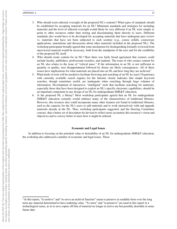APPENDIX A 25

- 3. Who should exert editorial oversight of the proposed NL's contents? What types of standards should be established for accepting materials for an NL? Minimum standards and strategies for including materials and the level of editorial oversight would likely be very different if an NL were simply to point to other resources rather than storing and disseminating them directly to users. Different standards also would have to be developed for accepting materials that have undergone peer review vs. materials that have not been subjected to such scrutiny (e.g., course syllabi, courseware applications, annotations and discussions about other materials included in the proposed NL). The workshop participants broadly agreed that some mechanism for distinguishing formally reviewed from unreviewed material would be necessary, both from the standpoint of the user and for the credibility of the proposed NL itself.
- 4. Who should create content for an NL? Here there was fairly broad agreement that creators could include faculty, publishers, professional societies, and students. The issue of who creates content for an NL also relates to the issue of "critical mass." If the information in an NL is not sufficient in quantity or quality, user disappointment followed by disuse are likely consequences. All of these issues have implications for what materials are placed into an NL and how long they are archived.<sup>2</sup>
- 5. What kinds of tools will be needed to facilitate browsing and searching of an NL by users? Experience with currently available search engines for the Internet clearly indicates that simple keyword searches, though sometimes useful, are inadequate when searching through large volumes of information. Development of interactive, "intelligent" tools that facilitate searching for materials, especially those that have been designed to exploit an NL's specific electronic capabilities, should be an important component in any design of an NL for undergraduate SME&T education.
- 6. Is the proposed NL a library? Most workshop participants agreed that an NL for undergraduate SME&T education certainly would embrace many of the characteristics of traditional libraries. However, this resource also could incorporate many other features not found in traditional libraries, such as the capacity for the NL's users to add materials and to work interactively with and upgrade materials already in the NL. Thus, workshop participants suggested, and the Steering Committee concurs, that a better set of descriptors be devised to reflect more accurately this resource's vision and objectives and to convey better to users how it might be utilized.

# **Economic and Legal Issues**

In addition to focusing on the potential value or desirability of an NL for undergraduate SME&T education, the workshop also addressed a number of economic and legal issues. These

<sup>&</sup>lt;sup>2</sup> In this report, "to archive" and "to serve an archival function" mean to preserve in readable form over the long term any material determined to have enduring value. "To store" and "to preserve" are used in this report in a technological sense, as in to save copies off-line of material no longer in active use but possibly desirable at some future date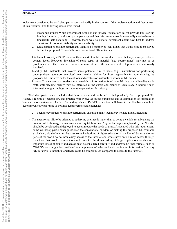topics were considered by workshop participants primarily in the context of the implementation and deployment of this resource. The following issues were raised.

- 1. Economic issues: While government agencies and private foundations might provide key start-up funding for an NL, workshop participants agreed that this resource would eventually need to become financially self-sustaining. However, there was no general agreement about how best to address questions of economic viability and sustainability.
- 2. Legal issues: Workshop participants identified a number of legal issues that would need to be solved before the proposed NL could become operational. These include
- Intellectual Property (IP). IP issues in the context of an NL are similar to those that any online provider of content faces. However, inclusion of some types of material (e.g., course notes) may not be as problematic as other materials because remuneration to the authors or developers is not necessarily involved.
- Liability. NL materials that involve some potential risk to users (e.g., instructions for performing undergraduate laboratory exercises) may involve liability for those responsible for administering the proposed NL initiative or for the authors and creators of materials to whom an NL points.
- Privacy. To the extent that students use materials or information found in an NL (e.g., an online diagnostic test), well-meaning faculty may be interested in the extent and nature of such usage. Obtaining such information might impinge on students' expectations for privacy.

Workshop participants concluded that these issues could not be solved independently for the proposed NL. Rather, a regime of general law and practice will evolve as online publishing and dissemination of information becomes more extensive. An NL for undergraduate SME&T education will have to be flexible enough to accommodate a wide range of possible legal regimes and challenges.

- 3. Technology issues: Workshop participants discussed many technology-related issues, including
- The need for an NL to be oriented to satisfying user needs rather than to being a vehicle for advancing the creation of technology or research about digital libraries. Any technologies employed by an NL also should be developed and deployed to accommodate the needs of users. Associated with this requirement, some workshop participants questioned the conventional wisdom of making the proposed NL available exclusively via the Internet. Because some institutions of higher education in the United States and other parts of the world do not now enjoy access to the Internet and others have only limited access through data lines that would require too much time for the downloading of large applications or data sets, important issues of equity and access must be considered carefully and addressed. Other formats, such as CD-ROM sets, might be considered as components of vehicles for disseminating information from any NL initiative (although interactivity could be compromised compared to access to the Internet).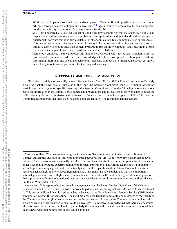Workshop participants also noted that the development of Internet II could possibly restrict access to an NL only through selected colleges and universities.<sup>3,4</sup> Again, equity of access should be an important consideration in any discussions of delivery systems for this NL.

- An NL for undergraduate SME&T education should employ technologies that are adaptive, flexible, and responsive to unforeseen user needs and problems. New applications and modules should be designed to operate with software that is widely available for other applications (e.g., commonly used spreadsheets). This design would reduce the time required for users to learn how to work with such materials. An NL initiative also will need to deal with content prepared to run on older computers and software platforms that may be incompatible with newer hardware and software platforms.
- Technology employed in the proposed NL should be developed with advice and oversight from the professional communities who are most knowledgeable about how people both organize and use information: librarians and social and behavioral scientists. Without these informed perspectives, an NL is not likely to optimize opportunities for teaching and learning.

# **STEERING COMMITTEE RECOMMENDATIONS**

Workshop participants generally agreed that the idea of an NL for SME&T education was sufficiently promising that the NSF should pursue it further, and the Steering Committee concurs. Although workshop participants did not agree on specific next steps, the Steering Committee makes the following recommendations based on information in the commissioned papers and presentations and discussions at the workshop to guide the NSF's planning for an NL initiative and its issuance of one or more request for proposals (RFPs). The Steering Committee recommends that these steps be acted upon sequentially. The recommendations that are

<sup>3</sup> President William Clinton's announced goals for the Next Generation Internet initiative are as follows: 1. Connect universities and national labs with high-speed networks that are 100 to 1,000 times faster than today's Internet. These networks will eventually be able to transmit the contents of the entire Encyclopedia Britannica in under a second; 2. Promote experimentation with the next generation of networking technologies. For example, technologies are emerging that could dramatically increase the capabilities of the Internet to handle real-time services, such as high-quality videoconferencing; and 3. Demonstrate new applications that meet important national goals and missions. Higher speed, more advanced networks will enable a new generation of applications that support scientific research, national security, distance education, environmental monitoring, and health care. Smith and Weingarten, 1997.

<sup>&</sup>lt;sup>4</sup> A reviewer of this report, who must remain anonymous under the Report Review Guidelines of the National Research Council, wrote to disagree with the workshop discussion regarding lack of wide accessibility to Internet II: This person indicated that his institution has had access to the Very Broadband Network Service (VBNS), the precursor of Internet II, for some time. The institution has a switch that routes outgoing messages to the VBNS or the Commodity Internet (Internet I), depending on the destination. No one on the Commodity Internet has had problems reaching this reviewer or others at this university. The reviewer acknowledged that there may be issues of performance between Internet I and II, particularly if streaming audio or video applications are developed, but this reviewer does not believe that access will be an issue.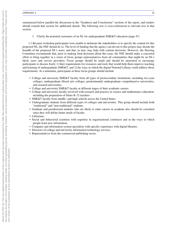summarized below parallel the discussion in the "Synthesis and Conclusions" sections of the report, and readers should consult that section for additional details. The following text is cross-referenced to relevant text in that section.

1. Clarify the potential customers of an NL for undergraduate SME&T education (page 47)

1.1 Because workshop participants were unable to delineate the stakeholders or to specify the content for this proposed NL, the NSF should do so. The level of funding that the agency can devote to this project may dictate the breadth of the proposed NL's users, and that, in turn, may help with content decisions. However, the Steering Committee recommends that, prior to making final decisions about this issue, the NSF should make a concerted effort to bring together in a series of focus groups representatives from all communities that might be an NL's likely users and service providers. Focus groups should be small and should be structured to encourage participants to discuss freely 1) their requirements for resources and tools that would help them improve teaching and learning of undergraduate SME&T, and 2) the ways in which the digital National Library could address those requirements. At a minimum, participants in these focus groups should include

- College and university SME&T faculty from all types of postsecondary institutions, including two-year colleges, undergraduate liberal arts colleges, predominantly undergraduate comprehensive universities, and research universities.
- College and university SME&T faculty at different stages of their academic careers.
- College and university faculty involved with research and practice in science and mathematics education, including the preparation of future K-12 teachers.
- SME&T faculty from middle- and high-schools across the United States.
- Undergraduate students from different types of colleges and universities. This group should include both "traditional" and "non-traditional" students.
- Graduate and postdoctoral students who are likely to enter careers in academe also should be consulted since they will define future needs of faculty.
- Librarians.
- Social and behavioral scientists with expertise in organizational constructs and in the ways in which people learn new information.
- Computer and information system specialists with specific experience with digital libraries.
- Directors of college and university information technology services.
- Representatives from the commercial publishing sector.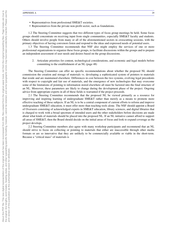- Representatives from professional SME&T societies.
- Representatives from the private non-profit sector, such as foundations.

1.2 The Steering Committee suggests that two different types of focus group meetings be held. Some focus groups should concentrate on receiving input from single communities, especially SME&T faculty and students. Others should involve people from many or all of the aforementioned sectors in crosscutting sessions, with the primary objectives of having convenors listen and respond to the ideas and expressed needs of potential users.

1.3 The Steering Committee recommends that NSF also might employ the services of one or more professional organizations to organize these focus groups, to facilitate discussions within the groups and to prepare an independent assessment of user needs and desires based on the group discussions.

2. Articulate priorities for content, technological considerations, and economic and legal models before committing to the establishment of an NL (page 48)

The Steering Committee can offer no specific recommendations about whether the proposed NL should commission the creation and storage of materials vs. developing a sophisticated system of pointers to materials that reside and are maintained elsewhere. Differences in cost between the two systems, evolving legal precedents with respect to copyright and fair use of materials, and the emergence of new technologies that may overcome some of the limitations of pointing to information stored elsewhere all must be factored into the final structure of an NL. Moreover, these parameters are likely to change during the development phase of the project. Ongoing advice from appropriate experts in all of these fields is warranted if the project proceeds.

2.1 The Steering Committee recommends that the proposed NL be viewed primarily as a resource for improving and inspiring learning of undergraduate SME&T rather than merely as a means to promote more effective teaching of these subjects. If an NL is to be a central component of current efforts to reform and improve undergraduate SME&T education, it must offer more than teaching tools alone. The NSF should appoint a Board of Overseers consisting of acknowledged experts in SME&T education, library sciences, and digital libraries that is charged to work with a broad spectrum of intended users and the other stakeholders before decisions are made about what kinds of materials should be placed into the proposed NL. If an NL initiative cannot afford to support all areas of SME&T, then the Board should decide on the initial areas of focus and look to expand coverage as the project develops.

2.2 Steering Committee members also agree with many workshop participants and recommend that an NL should strive to focus on collecting or pointing to materials that either are inaccessible through other media formats or are so innovative that they are unlikely to be commercially available or viable in the short-term. Because a "critical mass" of materials is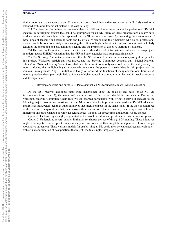#### APPENDIX A 30

vitally important to the success of an NL, the acquisition of such innovative new materials will likely need to be balanced with more traditional materials, at least initially.

2.3 The Steering Committee recommends that the NSF emphasize involvement by professional SME&T societies in developing content that could be appropriate for an NL. Many of these organizations already have produced materials that might be incorporated into an NL at little or no cost. By promoting the development of these kinds of teaching and learning tools and by officially recognizing their members who do so, professional societies could become key catalysts in changing the culture of higher education to embrace as legitimate scholarly activities the promotion and evaluation of teaching and the promotion of effective learning by students.

2.4 The Steering Committee recommends that an NL should provide information about and access to projects in undergraduate SME&T education that the NSF and other agencies have supported financially.

2.5 The Steering Committee recommends that the NSF also seek a new, more encompassing descriptor for this project. Workshop participants recognized, and the Steering Committee concurs, that "Digital National Library" or "National Library"—the terms that have been most commonly used to describe this entity—may be more confusing than enlightening to anyone who envisions the potential stakeholders in this project and the services it may provide. Any NL initiative is likely to transcend the functions of many conventional libraries. A more appropriate descriptor might help to focus the higher education community on the need for such a resource and its importance.

#### 3. Develop and issue one or more RFPs to establish an NL for undergraduate SME&T education

As the NSF receives additional input from stakeholders about the goals of and need for an NL (via Recommendations 1 and 2), the scope and potential cost of the project should become clearer. During the workshop, Steering Committee Chair Jack Wilson charged participants with trying to arrive at answers to the following major crosscutting questions: 1) Is an NL a good idea for improving undergraduate SME&T education and 2) Is an NL a better idea than other initiatives that might compete for the same funds? If the NSF is convinced on the basis of its explorations that it can answer these questions in the affirmative, then the question of how to implement this project should become the central focus. Options for proceeding at that point would include

Option 1: Undertaking a single, large initiative that would result in an operational NL within several years.

Option 2: Undertaking several smaller initiatives for shorter periods of time (12-24 months). These initiatives might be competitive and operate independently of each other or they might be components of some larger cooperative agreement. These various models for establishing an NL could then be evaluated against each other, with a final coordination of best practices that might lead to a single, integrated project.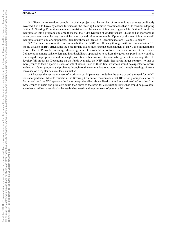#### APPENDIX A 31

3.1 Given the tremendous complexity of this project and the number of communities that must be directly involved if it is to have any chance for success, the Steering Committee recommends that NSF consider adopting Option 2. Steering Committee members envision that the smaller initiatives suggested in Option 2 might be incorporated into a program similar to those that the NSF's Division of Undergraduate Education has sponsored in recent years to change the ways in which chemistry and calculus are taught. Optimally, this new initiative would incorporate many similar components, including those delineated in Recommendations 3.2 and 3.3 below.

3.2 The Steering Committee recommends that the NSF, in following through with Recommendation 3.1, should develop an RFP articulating the need for and issues involving the establishment of an NL as outlined in this report. The RFP would encourage diverse groups of stakeholders to focus on some subset of the issues. Collaboration among stakeholders and interdisciplinary approaches to address the questions posed here would be encouraged. Preproposals could be sought, with funds then awarded to successful groups to encourage them to develop full proposals. Depending on the funds available, the NSF might then award larger contracts to one or more groups to tackle specific issues or sets of issues. Each of these final awardees would be expected to inform each other of their progress and problems through routine communications, reports, and through meetings of teams convened on a regular basis (at least annually).

3.3 Because the central concern of workshop participants was to define the users of and the need for an NL for undergraduate SME&T education, the Steering Committee recommends that RFPs for preproposals not be formulated until the NSF sponsors the focus groups described above. Feedback and evaluation of information from these groups of users and providers could then serve as the basis for constructing RFPs that would help eventual awardees to address specifically the established needs and requirements of potential NL users.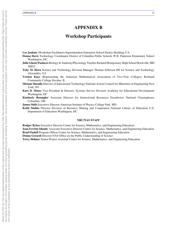# **APPENDIX B**

# **Workshop Participants**

**Lee Jenkins** (Workshop Facilitator) Superintendent Enterprise School District Redding, CA

- **Donna Davis** Technology Coordinator District of Columbia Public Schools W.B. Patterson Elementary School Washington, DC
- **Julie Ghent-Paolucci** Biology & Anatomy/Physiology Teacher Richard Montgomery High School Rockville, MD 20852
- **Toby M. Horn** Science and Technology Division Manager Thomas Jefferson HS for Science and Technology Alexandria, VA
- **Vernon Kays** (Representing the American Mathematical Association of Two-Year Colleges) Richland Community College Decatur, IL
- **Miriam Masullo** Director of Educational Technology National Action Council for Minorities in Engineering New York, NY
- **Kurt D. Moses** Vice President & Director, Systems Service Division Academy for Educational Development Washington, DC
- **Kimberly Roempler** Associate Director for Instructional Resources Eisenhower National Clearinghouse Columbus, OH
- **James Stith** Executive Director American Institute of Physics College Park, MD
- **Keith Stubbs** Director Division of Resource Sharing and Cooperation National Library of Education U.S. Department of Education Washington, DC

# **NRC/NAS STAFF**

**Rodger Bybee** Executive Director Center for Science, Mathematics, and Engineering Education **Joan Ferrini-Mundy** Associate Executive Director Center for Science, Mathematics, and Engineering Education **Brad Findell** Program Officer Center for Science, Mathematics, and Engineering Education **Donna Gerardi** Director NAS Office on the Public Understanding of Science **Terry Holmer** Senior Project Assistant Center for Science, Mathematics, and Engineering Education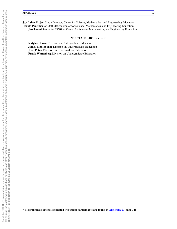**Jay Labov** Project Study Director, Center for Science, Mathematics, and Engineering Education **Harold Pratt** Senior Staff Officer Center for Science, Mathematics, and Engineering Education **Jan Tuomi** Senior Staff Officer Center for Science, Mathematics, and Engineering Education

# **NSF STAFF (OBSERVERS)**

**Katylee Hoover** Division on Undergraduate Education **James Lightbourne** Division on Undergraduate Education **Joan Prival** Division on Undergraduate Education **Frank Wattenberg** Division on Undergraduate Education

<sup>\*</sup> **Biographical sketches of invited workshop participants are found in Appendix C (page 34)**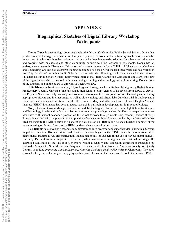# **Biographical Sketches of Digital Library Workshop Participants**

**Donna Davis** is a technology coordinator with the District Of Columbia Public School System. Donna has worked as a technology coordinator for the past 6 years. Her work includes training teachers on successful integration of technology into the curriculum, writing technology integrated curriculum for science and other areas and working with businesses and other community partners to bring technology to schools. Donna has an undergraduate degree in Elementary Education and master's degrees in Early Childhood Education and Guidance and Counseling. She has had extensive training in computer science, Over the past three years she has worked in over fifty District of Columbia Public Schools assisting with the effort to get schools connected to the Internet. Philadelphia Public School System, EarthWatch International, Bell Atlantic and Carnegie Institute are just a few of the organizations she has worked with on technology training and technology curriculum writing. Donna is one of the founders and on the board of directors of Tech Corp-DC.

**Julie Ghent-Paolucci** is an anatomy/physiology and biology teacher at Richard Montgomery High School in Montgomery County, Maryland. She has taught high school biology classes of all levels, from ESOL to AP/IB, for 15 years. She is currently working on curriculum development to incorporate various technologies, including appropriate software and Internet usage, as well as biotechnology and virtual labs. Julie has a BS in zoology and a BS in secondary science education from the University of Maryland. She is a former Howard Hughes Medical Institute (HHMI) intern, and has done graduate research in curriculum development for high school biology.

**Toby Horn** is Division Manager for Science and Technology at Thomas Jefferson High School for Science and Technology in Alexandria, VA. A scientist who became a precollege teacher, Dr. Horn has expertise in issues associated with student academic preparation for school-to-work through mentorship, teaching science through doing science, and with the preparation and practice of science teaching. She was invited by the Howard Hughes Medical Institute (HHMI) to serve as a panelist in a discussion on "Rethinking Science Teacher Training" at the recent meeting of Project Directors for HHMI undergraduate education initiatives.

**Lee Jenkins** has served as a teacher, administrator, college professor and superintendent during his 32 years in public education. His interest in mathematics education began in the 1960's when he was introduced to mathematics manipulatives. His publications include ten books for teachers in the use of various manipulatives. Currently Dr. Jenkins is a frequent speaker on quality management at regional and national meetings. He addressed audiences at the last four Governors' National Quality and Education conferences sponsored by Colorado, Minnesota, New Mexico and Virginia. His latest publication, from the American Society for Quality Control, is entitled *Improving Student Learning: Applying Deming's Quality Principles in* Classrooms. The book chronicles his years of learning and applying quality principles within the Enterprise School District since 1990.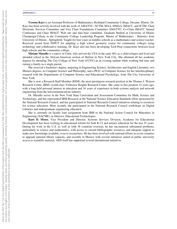#### $APPENDIX C$  35

**Vernon Kays** is an Assistant Professor of Mathematics, Richland Community College, Decatur, Illinois. Dr. Kays has been actively involved with the work of AMATYC, NCTM, MAA, ISMAA, IMACC, and ICTM. Chair Electronic Services Committee and Vice Chair Foundations Committee AMATYC. Co-Chair IMACC Annual Conference and Chair IMACC Web site and data base committee. Graduate Student at University of Illinois Champaign-Urbana in the Community College Leadership Program. Master of Mathematics - Statistics from University of Illinois - Springfield. Taught for four years in middles schools as a mathematics and science teacher. Received award from INPUT for adapting a high school geometry course for community colleges using technology and collaborative learning. Dr. Kays also has been developing Tech-Prep connections between local high schools and the community college.

**Miriam Masullo** is a native of Cuba, who arrived the USA in the early 60's as a child refugee and lived and attended school in the African-American section of Harlem in New York City. She obtained all her academic degrees by attending The City College of New York (CCNY) as an evening student while working full time and raising a family as a single parent.

She received a bachelor's degree, majoring in Engineering Science, Architecture and English Literature, two Masters degrees, in Computer Science and Philosophy, and a Ph.D. in Computer Science for her interdisciplinary research with the Departments of Computer Science and Educational Psychology, from The City University of New York.

She is now a Research Staff Member (RSM), the most prestigious research position at the Thomas J. Watson Research Center, IBM's world-class Yorktown Heights Research Center. She came to this position 14 years ago, with a long held personal interest in education and 16 years of experience in both systems analysis and network engineering from the telecommunications industry.

Dr. Masullo serves in the New York State Curriculum and Assessment Committee for Math, Science and Technology, and has represented IBM Research at the National Science Education Standards effort sponsored by the National Research Council, and has participated in National Research Council initiatives relating to resources for science education. More recently she participated in the National Research Council workshops on Digital Libraries and undergraduate engineering education.

She is currently on faculty loan assignment from IBM to the National Action Council for Minorities in Engineering (NACME), as Director, Educational Technologies.

**Kurt D. Moses**, Vice President and Director, Systems Services Division, Academy for Educational Development has been working in educational reform for both K-12 and tertiary education for the last 25 years. During his work in the U.S. as well as with 38 countries overseas, he has encountered substantial problems, particularly in science and mathematics, with access to current bibliographic resources, and adequate support to make new knowledge available, even to researchers. He has been involved with national efforts in seven countries to upgrade national library capacity, and recently in Mexico with several initiatives aimed at public university access to scientific material. AED itself has supported several international initiatives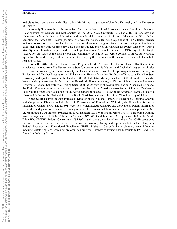#### $APPENDIX C$  36

to digitize key materials for wider distribution. Mr. Moses is a graduate of Stanford University and the University of Chicago.

**Kimberly S. Roempler** is the Associate Director for Instructional Resources for the Eisenhower National Clearinghouse for Science and Mathematics at The Ohio State University. She has a B.S. in Zoology and Chemistry, a M.A. in Science Education, and completed her doctorate in Science Education at OSU. Before accepting the Associate Director position, she was the Science Resource Specialist at ENC, taught science methods courses, supervised student teachers, developed inservice programs for teachers on the topics of authentic assessment and the Ohio Competency-Based Science Model, and was an evaluator for Project Discovery (Ohio's State Systemic Initiative Project) and the Buckeye Assessment Teams for Science (BATS) project. She taught science for ten years at the high school and community college levels before coming to ENC. As Resource Specialist, she worked daily with science educators, helping them learn about the resources available to them, both real and virtual.

**James H. Stith** is the Director of Physics Programs for the American Institute of Physics. His Doctorate in physics was earned from The Pennsylvania State University and his Master's and Bachelor's degrees in physics were received from Virginia State University. A physics education researcher, his primary interests are in Program Evaluation and Teacher Preparation and Enhancement. He was formerly a Professor of Physics at The Ohio State University and spent 21 years on the faculty of the United States Military Academy at West Point. He has also been a visiting Associate Professor at the United Air Force Academy, a Visiting Scientist at the Lawrence Livermore National Laboratory, a Visiting Scientist at the University of Washington, and an Associate Engineer at the Radio Cooperation of America. He is a past president of the American Association of Physics Teachers, a Fellow of the American Association for the Advancement of Science, a Fellow of the American Physical Society, a Chartered Fellow of the National Society of Black Physicists, and a member of the Ohio Academy of Science.

**Keith Stubbs**' current responsibilities as Director of the National Library of Education's Resource Sharing and Cooperation Division include the U.S. Department of Education's Web site, the Education Resources Information Center (ERIC) and its 30+ Web sites (which include AskERIC and the National Parent Information Network), and plans for a resource sharing network for educational libraries and information providers. Mr. Stubbs initiated ED's Internet presence in 1992, launched ED's Web site in March 1994, led an award-winning Web redesign and wrote ED's Web Server Standards SME&T Guidelines in 1995, represented ED on the World Wide Web (WWW) Federal Consortium 1995-1998, and recently conducted one of the first OMB-sanctioned Internet customer surveys. He co-chairs ED's Internet Working Group and represents ED on the interagency Federal Resources for Educational Excellence (FREE) initiative. Currently he is directing several Internet indexing, cataloging, and searching projects including the Gateway to Educational Materials (GEM) and ED's Cross-Site Indexing Project.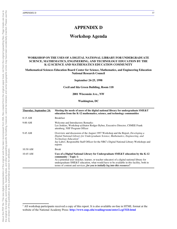# **APPENDIX D**

# **Workshop Agenda**

# **WORKSHOP ON THE USES OF A DIGITAL NATIONAL LIBRARY FOR UNDERGRADUATE SCIENCE, MATHEMATICS, ENGINEERING, AND TECHNOLOGY EDUCATION BY THE K-12 SCIENCE AND MATHEMATICS EDUCATION COMMUNITY**

**Mathematical Sciences Education Board Center for Science, Mathematics, and Engineering Education National Research Council**

**September 24-25, 1998**

**Cecil and Ida Green Building, Room 118**

**2001 Wisconsin Ave., NW**

**Washington, DC**

| Thursday, September 24: | Meeting the needs of users of the digital national library for undergraduate SME&T<br>education from the K-12 mathematics, science, and technology communities                                                                                                                                                                                                                       |
|-------------------------|--------------------------------------------------------------------------------------------------------------------------------------------------------------------------------------------------------------------------------------------------------------------------------------------------------------------------------------------------------------------------------------|
| $8:15$ AM               | <b>Breakfast</b>                                                                                                                                                                                                                                                                                                                                                                     |
| 9:00 AM                 | Welcome and Introductory Remarks:<br>Lee Jenkins, Workshop acilitator Rodger Bybee, Executive Director, CSMEE Frank<br>attenberg, NSF Program Officer                                                                                                                                                                                                                                |
| $9:45 \text{ AM}$       | Overview and discussion of the August 1997 Workshop and the Report, Developing a<br>Digital National Library for Undergraduate Science, Mathematics, Engineering, and<br>Technology Education <sup>1</sup><br>Jay Labov, Responsible Staff Officer for the NRC's Digital National Library Workshops and<br>reports                                                                   |
| $10:30$ AM              | <b>Break</b>                                                                                                                                                                                                                                                                                                                                                                         |
| $10:45$ AM              | Uses of a Digital National Library for Undergraduate SME&T education by the K-12<br>community - Topic 1:<br>As a potential user (teacher, learner, or teacher educator) of a digital national library for<br>undergraduate SME&T education, what would have to be available in this facility, both in<br>terms of content and services, for you to initially log into this resource? |

<sup>&</sup>lt;sup>1</sup> All workshop participants received a copy of this report. It is also available on-line in HTML format at the website of the National Academy Press: **<http://www.nap.edu/readingroom/enter2.cgi?ED.html>**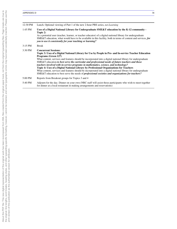| APPENDIX D<br>the contract of the contract of the contract of the contract of the contract of the contract of the contract of | 38 |
|-------------------------------------------------------------------------------------------------------------------------------|----|
|                                                                                                                               |    |

| 12:30 PM  | Lunch. Optional viewing of Part 1 of the new 2-hour PBS series, <i>net. Learning</i>                                                                                                                                                                                                                                                                                                                                                                                                                                                                                                                                                                                                                                                                                                            |
|-----------|-------------------------------------------------------------------------------------------------------------------------------------------------------------------------------------------------------------------------------------------------------------------------------------------------------------------------------------------------------------------------------------------------------------------------------------------------------------------------------------------------------------------------------------------------------------------------------------------------------------------------------------------------------------------------------------------------------------------------------------------------------------------------------------------------|
| 1:45 PM   | Uses of a Digital National Library for Undergraduate SME&T education by the K-12 community -<br>Topic 2:<br>As a potential user (teacher, learner, or teacher educator) of a digital national library for undergraduate<br>SME&T education, what would have to be available in this facility, both in terms of content and services, for<br>you to use it consistently for your teaching or learning?                                                                                                                                                                                                                                                                                                                                                                                           |
| $3:15$ PM | <b>Break</b>                                                                                                                                                                                                                                                                                                                                                                                                                                                                                                                                                                                                                                                                                                                                                                                    |
| 3:30 PM   | <b>Concurrent Sessions:</b><br>Topic 3: Uses of a Digital National Library for Use by People in Pre- and In-service Teacher Education<br>Programs (Green 127)<br>What content, services and features should be incorporated into a digital national library for undergraduate<br>SME&T education to best serve the curricular and professional needs of future teachers and those<br>teachers involved with in-service programs in mathematics, science, and technology?<br>Topic 4: Uses of a Digital National Library by Professional Organizations for Teachers<br>What content, services and features should be incorporated into a digital national library for undergraduate<br>SME&T education to best serve the needs of <i>professional societies and organizations for teachers</i> ? |
| 5:00 PM   | Reports from Breakout groups for Topics 3 and 4                                                                                                                                                                                                                                                                                                                                                                                                                                                                                                                                                                                                                                                                                                                                                 |
| 5:40 PM   | Adjourn for the day. Dinner on your own (NRC staff will assist those participants who wish to meet together<br>for dinner at a local restaurant in making arrangements and reservations)                                                                                                                                                                                                                                                                                                                                                                                                                                                                                                                                                                                                        |